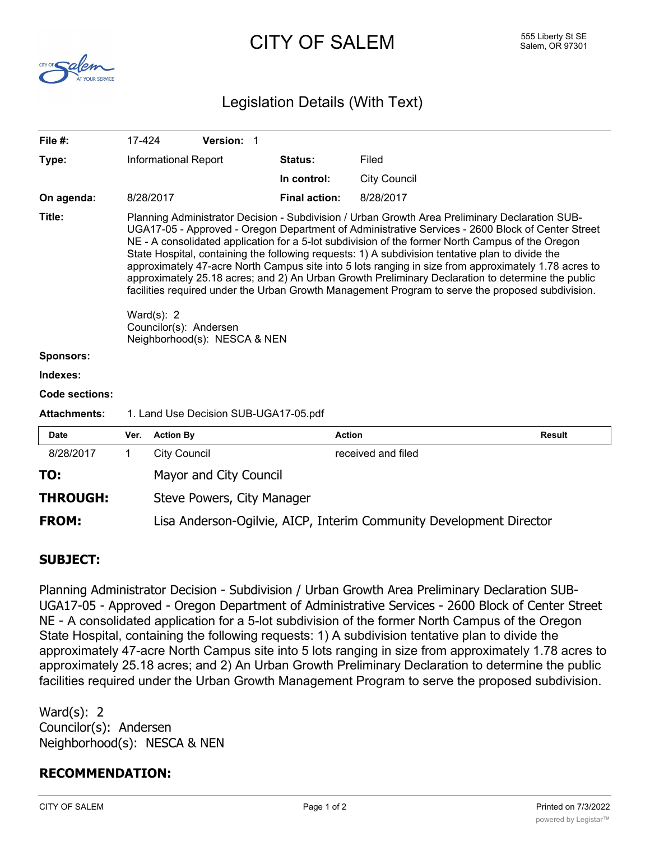## CITY OF SALEM 555 Liberty St SE



## Legislation Details (With Text)

| File $#$ :            | 17-424                                                                                                                                                                                                                                                                                                                                                                                                                                                                                                                                                                                                                                                                                                                                                                                                  |                                                                     | Version: 1 |  |                      |                     |               |  |
|-----------------------|---------------------------------------------------------------------------------------------------------------------------------------------------------------------------------------------------------------------------------------------------------------------------------------------------------------------------------------------------------------------------------------------------------------------------------------------------------------------------------------------------------------------------------------------------------------------------------------------------------------------------------------------------------------------------------------------------------------------------------------------------------------------------------------------------------|---------------------------------------------------------------------|------------|--|----------------------|---------------------|---------------|--|
| Type:                 | <b>Informational Report</b>                                                                                                                                                                                                                                                                                                                                                                                                                                                                                                                                                                                                                                                                                                                                                                             |                                                                     |            |  | Status:              | Filed               |               |  |
|                       |                                                                                                                                                                                                                                                                                                                                                                                                                                                                                                                                                                                                                                                                                                                                                                                                         |                                                                     |            |  | In control:          | <b>City Council</b> |               |  |
| On agenda:            |                                                                                                                                                                                                                                                                                                                                                                                                                                                                                                                                                                                                                                                                                                                                                                                                         | 8/28/2017                                                           |            |  | <b>Final action:</b> | 8/28/2017           |               |  |
| Title:                | Planning Administrator Decision - Subdivision / Urban Growth Area Preliminary Declaration SUB-<br>UGA17-05 - Approved - Oregon Department of Administrative Services - 2600 Block of Center Street<br>NE - A consolidated application for a 5-lot subdivision of the former North Campus of the Oregon<br>State Hospital, containing the following requests: 1) A subdivision tentative plan to divide the<br>approximately 47-acre North Campus site into 5 lots ranging in size from approximately 1.78 acres to<br>approximately 25.18 acres; and 2) An Urban Growth Preliminary Declaration to determine the public<br>facilities required under the Urban Growth Management Program to serve the proposed subdivision.<br>Ward $(s)$ : 2<br>Councilor(s): Andersen<br>Neighborhood(s): NESCA & NEN |                                                                     |            |  |                      |                     |               |  |
| <b>Sponsors:</b>      |                                                                                                                                                                                                                                                                                                                                                                                                                                                                                                                                                                                                                                                                                                                                                                                                         |                                                                     |            |  |                      |                     |               |  |
| Indexes:              |                                                                                                                                                                                                                                                                                                                                                                                                                                                                                                                                                                                                                                                                                                                                                                                                         |                                                                     |            |  |                      |                     |               |  |
| <b>Code sections:</b> |                                                                                                                                                                                                                                                                                                                                                                                                                                                                                                                                                                                                                                                                                                                                                                                                         |                                                                     |            |  |                      |                     |               |  |
| <b>Attachments:</b>   | 1. Land Use Decision SUB-UGA17-05.pdf                                                                                                                                                                                                                                                                                                                                                                                                                                                                                                                                                                                                                                                                                                                                                                   |                                                                     |            |  |                      |                     |               |  |
| <b>Date</b>           | Ver.                                                                                                                                                                                                                                                                                                                                                                                                                                                                                                                                                                                                                                                                                                                                                                                                    | <b>Action By</b>                                                    |            |  |                      | <b>Action</b>       | <b>Result</b> |  |
| 8/28/2017             | 1                                                                                                                                                                                                                                                                                                                                                                                                                                                                                                                                                                                                                                                                                                                                                                                                       | <b>City Council</b>                                                 |            |  |                      | received and filed  |               |  |
| TO:                   |                                                                                                                                                                                                                                                                                                                                                                                                                                                                                                                                                                                                                                                                                                                                                                                                         | Mayor and City Council                                              |            |  |                      |                     |               |  |
| <b>THROUGH:</b>       |                                                                                                                                                                                                                                                                                                                                                                                                                                                                                                                                                                                                                                                                                                                                                                                                         | Steve Powers, City Manager                                          |            |  |                      |                     |               |  |
| <b>FROM:</b>          |                                                                                                                                                                                                                                                                                                                                                                                                                                                                                                                                                                                                                                                                                                                                                                                                         | Lisa Anderson-Ogilvie, AICP, Interim Community Development Director |            |  |                      |                     |               |  |

## **SUBJECT:**

Planning Administrator Decision - Subdivision / Urban Growth Area Preliminary Declaration SUB-UGA17-05 - Approved - Oregon Department of Administrative Services - 2600 Block of Center Street NE - A consolidated application for a 5-lot subdivision of the former North Campus of the Oregon State Hospital, containing the following requests: 1) A subdivision tentative plan to divide the approximately 47-acre North Campus site into 5 lots ranging in size from approximately 1.78 acres to approximately 25.18 acres; and 2) An Urban Growth Preliminary Declaration to determine the public facilities required under the Urban Growth Management Program to serve the proposed subdivision.

Ward(s): 2 Councilor(s): Andersen Neighborhood(s): NESCA & NEN

## **RECOMMENDATION:**